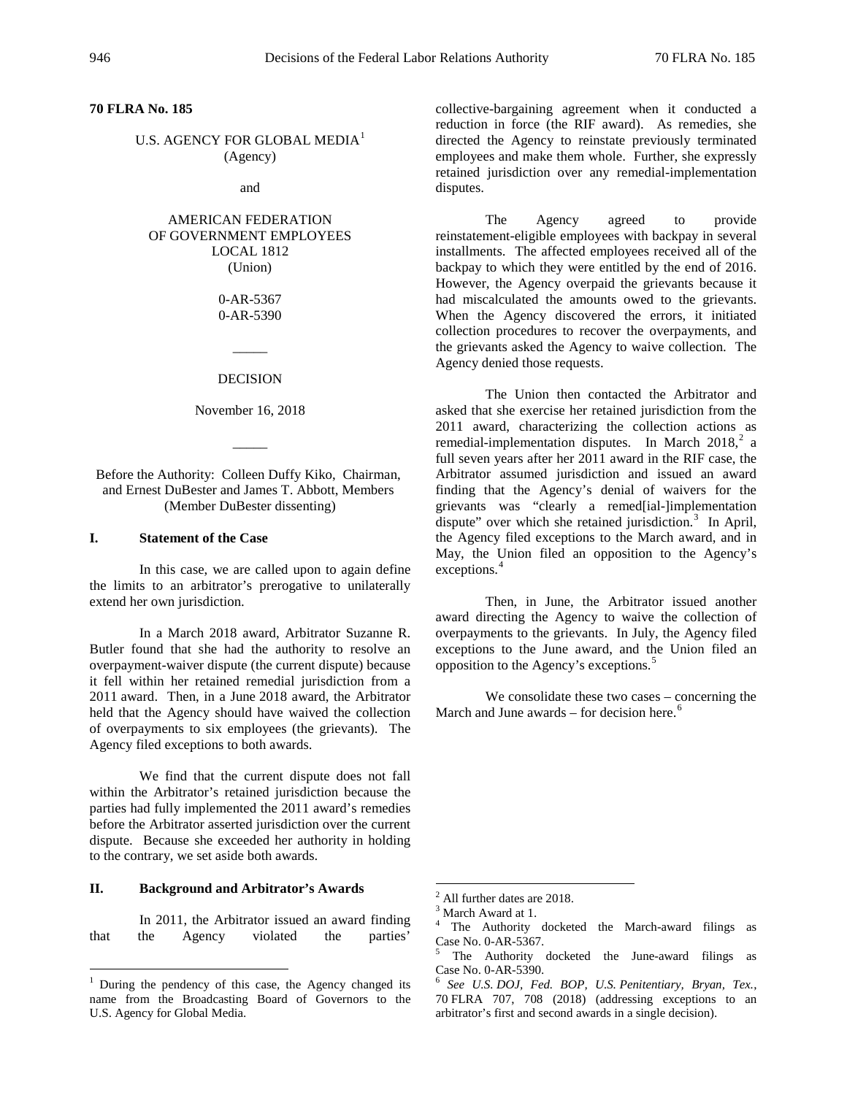**70 FLRA No. 185**

U.S. AGENCY FOR GLOBAL MEDIA<sup>[1](#page-0-0)</sup> (Agency)

and

### AMERICAN FEDERATION OF GOVERNMENT EMPLOYEES LOCAL 1812 (Union)

0-AR-5367 0-AR-5390

#### DECISION

 $\overline{\phantom{a}}$ 

November 16, 2018

 $\overline{\phantom{a}}$ 

Before the Authority: Colleen Duffy Kiko, Chairman, and Ernest DuBester and James T. Abbott, Members (Member DuBester dissenting)

### **I. Statement of the Case**

In this case, we are called upon to again define the limits to an arbitrator's prerogative to unilaterally extend her own jurisdiction.

In a March 2018 award, Arbitrator Suzanne R. Butler found that she had the authority to resolve an overpayment-waiver dispute (the current dispute) because it fell within her retained remedial jurisdiction from a 2011 award. Then, in a June 2018 award, the Arbitrator held that the Agency should have waived the collection of overpayments to six employees (the grievants). The Agency filed exceptions to both awards.

We find that the current dispute does not fall within the Arbitrator's retained jurisdiction because the parties had fully implemented the 2011 award's remedies before the Arbitrator asserted jurisdiction over the current dispute. Because she exceeded her authority in holding to the contrary, we set aside both awards.

# <span id="page-0-1"></span>**II. Background and Arbitrator's Awards**

<span id="page-0-3"></span><span id="page-0-2"></span>In 2011, the Arbitrator issued an award finding that the Agency violated the parties'

collective-bargaining agreement when it conducted a reduction in force (the RIF award). As remedies, she directed the Agency to reinstate previously terminated employees and make them whole. Further, she expressly retained jurisdiction over any remedial-implementation disputes.

The Agency agreed to provide reinstatement-eligible employees with backpay in several installments. The affected employees received all of the backpay to which they were entitled by the end of 2016. However, the Agency overpaid the grievants because it had miscalculated the amounts owed to the grievants. When the Agency discovered the errors, it initiated collection procedures to recover the overpayments, and the grievants asked the Agency to waive collection. The Agency denied those requests.

The Union then contacted the Arbitrator and asked that she exercise her retained jurisdiction from the 2011 award, characterizing the collection actions as remedial-implementation disputes. In March [2](#page-0-1)018,<sup>2</sup> a full seven years after her 2011 award in the RIF case, the Arbitrator assumed jurisdiction and issued an award finding that the Agency's denial of waivers for the grievants was "clearly a remed[ial-]implementation dispute" over which she retained jurisdiction.<sup>[3](#page-0-2)</sup> In April, the Agency filed exceptions to the March award, and in May, the Union filed an opposition to the Agency's exceptions. [4](#page-0-3)

Then, in June, the Arbitrator issued another award directing the Agency to waive the collection of overpayments to the grievants. In July, the Agency filed exceptions to the June award, and the Union filed an opposition to the Agency's exceptions.[5](#page-0-4)

We consolidate these two cases – concerning the March and June awards – for decision here.<sup>[6](#page-0-0)</sup>

<span id="page-0-4"></span><span id="page-0-0"></span><sup>&</sup>lt;sup>1</sup> During the pendency of this case, the Agency changed its name from the Broadcasting Board of Governors to the U.S. Agency for Global Media.

<sup>&</sup>lt;sup>2</sup> All further dates are 2018.<br><sup>3</sup> March Award at 1.<br><sup>4</sup> The Authority docketed the March-award filings as Case No. 0-AR-5367.

 $5$  The Authority docketed the June-award filings as Case No. 0-AR-5390.

<sup>&</sup>lt;sup>6</sup> See U.S. DOJ, Fed. BOP, U.S. Penitentiary, Bryan, Tex., 70 FLRA 707, 708 (2018) (addressing exceptions to an arbitrator's first and second awards in a single decision).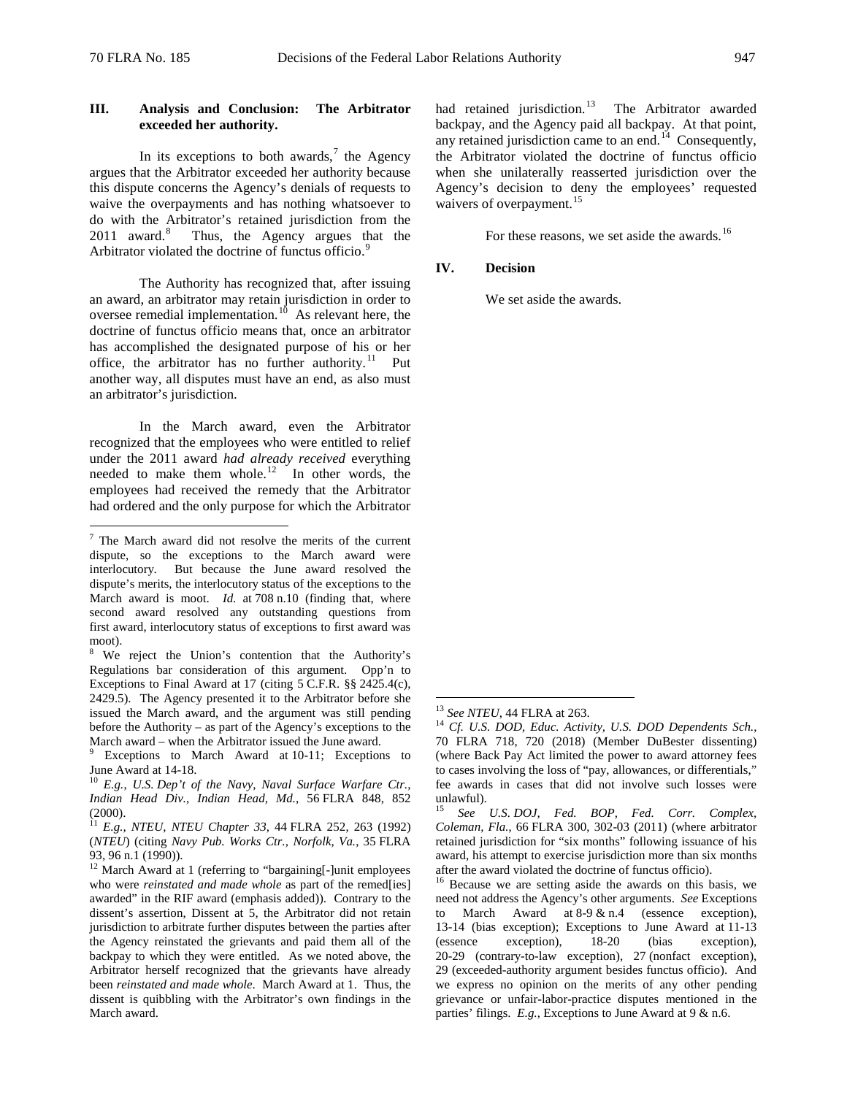## **III. Analysis and Conclusion: The Arbitrator exceeded her authority.**

In its exceptions to both awards,<sup>[7](#page-1-0)</sup> the Agency argues that the Arbitrator exceeded her authority because this dispute concerns the Agency's denials of requests to waive the overpayments and has nothing whatsoever to do with the Arbitrator's retained jurisdiction from the  $2011$  award.<sup>[8](#page-1-1)</sup> Thus, the Agency argues that the Arbitrator violated the doctrine of functus officio.<sup>[9](#page-1-2)</sup>

The Authority has recognized that, after issuing an award, an arbitrator may retain jurisdiction in order to oversee remedial implementation. $10^{10}$  $10^{10}$  As relevant here, the doctrine of functus officio means that, once an arbitrator has accomplished the designated purpose of his or her office, the arbitrator has no further authority.<sup>[11](#page-1-4)</sup> Put another way, all disputes must have an end, as also must an arbitrator's jurisdiction.

In the March award, even the Arbitrator recognized that the employees who were entitled to relief under the 2011 award *had already received* everything needed to make them whole.<sup>12</sup> In other words, the employees had received the remedy that the Arbitrator had ordered and the only purpose for which the Arbitrator

had retained jurisdiction.<sup>[13](#page-1-6)</sup> The Arbitrator awarded backpay, and the Agency paid all backpay. At that point, any retained jurisdiction came to an end.<sup>14</sup> Consequently, the Arbitrator violated the doctrine of functus officio when she unilaterally reasserted jurisdiction over the Agency's decision to deny the employees' requested waivers of overpayment.<sup>[15](#page-1-8)</sup>

For these reasons, we set aside the awards.<sup>[16](#page-1-9)</sup>

## **IV. Decision**

We set aside the awards.

<span id="page-1-0"></span> <sup>7</sup> The March award did not resolve the merits of the current dispute, so the exceptions to the March award were interlocutory. But because the June award resolved the dispute's merits, the interlocutory status of the exceptions to the March award is moot. *Id.* at 708 n.10 (finding that, where second award resolved any outstanding questions from first award, interlocutory status of exceptions to first award was moot).

<span id="page-1-1"></span><sup>&</sup>lt;sup>8</sup> We reject the Union's contention that the Authority's Regulations bar consideration of this argument. Opp'n to Exceptions to Final Award at 17 (citing 5 C.F.R. §§ 2425.4(c), 2429.5). The Agency presented it to the Arbitrator before she issued the March award, and the argument was still pending before the Authority – as part of the Agency's exceptions to the March award – when the Arbitrator issued the June award.

<span id="page-1-7"></span><span id="page-1-6"></span><span id="page-1-2"></span>Exceptions to March Award at 10-11; Exceptions to June Award at 14-18. <sup>10</sup> *E.g.*, *U.S. Dep't of the Navy, Naval Surface Warfare Ctr.,* 

<span id="page-1-3"></span>*Indian Head Div., Indian Head, Md.*, 56 FLRA 848, 852  $(2000)$ .

<span id="page-1-8"></span><span id="page-1-4"></span><sup>11</sup> *E.g.*, *NTEU, NTEU Chapter 33*, 44 FLRA 252, 263 (1992) (*NTEU*) (citing *Navy Pub. Works Ctr., Norfolk, Va.*, 35 FLRA

<span id="page-1-9"></span><span id="page-1-5"></span><sup>93, 96</sup> n.1 (1990)).<br><sup>12</sup> March Award at 1 (referring to "bargaining[-]unit employees who were *reinstated and made whole* as part of the remed[ies] awarded" in the RIF award (emphasis added)). Contrary to the dissent's assertion, Dissent at 5, the Arbitrator did not retain jurisdiction to arbitrate further disputes between the parties after the Agency reinstated the grievants and paid them all of the backpay to which they were entitled. As we noted above, the Arbitrator herself recognized that the grievants have already been *reinstated and made whole*. March Award at 1. Thus, the dissent is quibbling with the Arbitrator's own findings in the March award.

<sup>&</sup>lt;sup>13</sup> *See NTEU*, 44 FLRA at 263.<br><sup>14</sup> *Cf. U.S. DOD, Educ. Activity, U.S. DOD Dependents Sch.*, 70 FLRA 718, 720 (2018) (Member DuBester dissenting) (where Back Pay Act limited the power to award attorney fees to cases involving the loss of "pay, allowances, or differentials," fee awards in cases that did not involve such losses were unlawful).

<sup>15</sup> *See U.S. DOJ, Fed. BOP, Fed. Corr. Complex, Coleman, Fla.*, 66 FLRA 300, 302-03 (2011) (where arbitrator retained jurisdiction for "six months" following issuance of his award, his attempt to exercise jurisdiction more than six months after the award violated the doctrine of functus officio).

 $16$  Because we are setting aside the awards on this basis, we need not address the Agency's other arguments. *See* Exceptions to March Award at 8-9 & n.4 (essence exception), 13-14 (bias exception); Exceptions to June Award at 11-13 (essence exception), 18-20 (bias exception), (essence exception), 18-20 (bias exception), 20-29 (contrary-to-law exception), 27 (nonfact exception), 29 (exceeded-authority argument besides functus officio). And we express no opinion on the merits of any other pending grievance or unfair-labor-practice disputes mentioned in the parties' filings. *E.g.*, Exceptions to June Award at 9 & n.6.